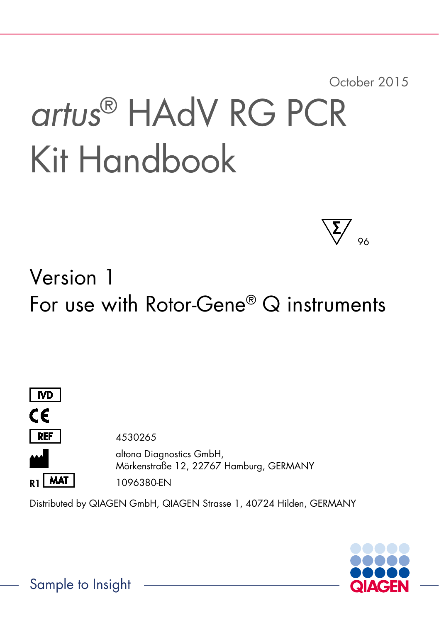October 2015

# *artus*® HAdV RG PCR Kit Handbook



# Version 1 For use with Rotor-Gene® Q instruments



Distributed by QIAGEN GmbH, QIAGEN Strasse 1, 40724 Hilden, GERMANY



Sample to Insight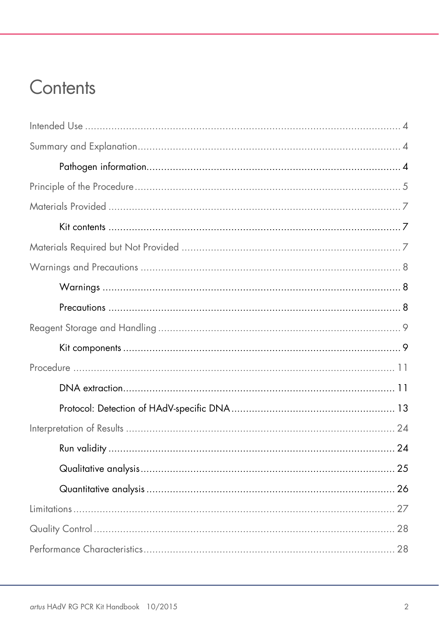# Contents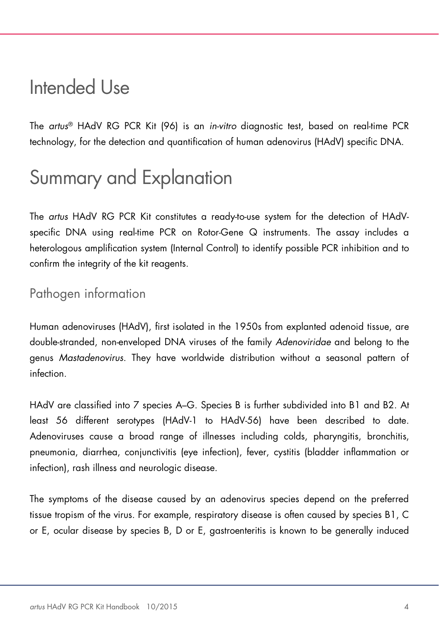# <span id="page-3-0"></span>Intended Use

The *artus*® HAdV RG PCR Kit (96) is an *in-vitro* diagnostic test, based on real-time PCR technology, for the detection and quantification of human adenovirus (HAdV) specific DNA.

# <span id="page-3-1"></span>Summary and Explanation

The *artus* HAdV RG PCR Kit constitutes a ready-to-use system for the detection of HAdVspecific DNA using real-time PCR on Rotor-Gene Q instruments. The assay includes a heterologous amplification system (Internal Control) to identify possible PCR inhibition and to confirm the integrity of the kit reagents.

### <span id="page-3-2"></span>Pathogen information

Human adenoviruses (HAdV), first isolated in the 1950s from explanted adenoid tissue, are double-stranded, non-enveloped DNA viruses of the family *Adenoviridae* and belong to the genus *Mastadenovirus*. They have worldwide distribution without a seasonal pattern of infection.

HAdV are classified into 7 species A–G. Species B is further subdivided into B1 and B2. At least 56 different serotypes (HAdV-1 to HAdV-56) have been described to date. Adenoviruses cause a broad range of illnesses including colds, pharyngitis, bronchitis, pneumonia, diarrhea, conjunctivitis (eye infection), fever, cystitis (bladder inflammation or infection), rash illness and neurologic disease.

The symptoms of the disease caused by an adenovirus species depend on the preferred tissue tropism of the virus. For example, respiratory disease is often caused by species B1, C or E, ocular disease by species B, D or E, gastroenteritis is known to be generally induced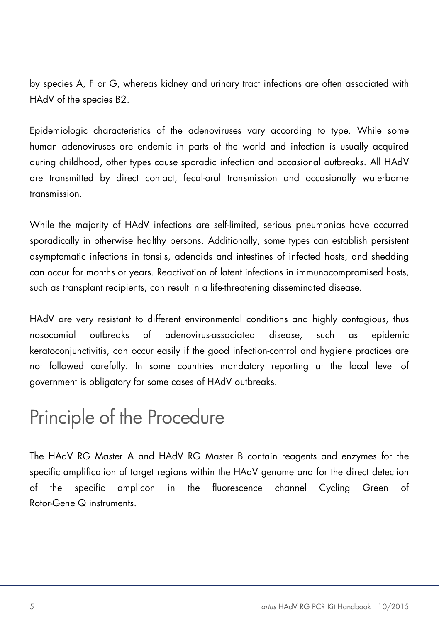by species A, F or G, whereas kidney and urinary tract infections are often associated with HAdV of the species B2.

Epidemiologic characteristics of the adenoviruses vary according to type. While some human adenoviruses are endemic in parts of the world and infection is usually acquired during childhood, other types cause sporadic infection and occasional outbreaks. All HAdV are transmitted by direct contact, fecal-oral transmission and occasionally waterborne transmission.

While the majority of HAdV infections are self-limited, serious pneumonias have occurred sporadically in otherwise healthy persons. Additionally, some types can establish persistent asymptomatic infections in tonsils, adenoids and intestines of infected hosts, and shedding can occur for months or years. Reactivation of latent infections in immunocompromised hosts, such as transplant recipients, can result in a life-threatening disseminated disease.

HAdV are very resistant to different environmental conditions and highly contagious, thus nosocomial outbreaks of adenovirus-associated disease, such as epidemic keratoconjunctivitis, can occur easily if the good infection-control and hygiene practices are not followed carefully. In some countries mandatory reporting at the local level of government is obligatory for some cases of HAdV outbreaks.

# <span id="page-4-0"></span>Principle of the Procedure

The HAdV RG Master A and HAdV RG Master B contain reagents and enzymes for the specific amplification of target regions within the HAdV genome and for the direct detection of the specific amplicon in the fluorescence channel Cycling Green of Rotor-Gene Q instruments.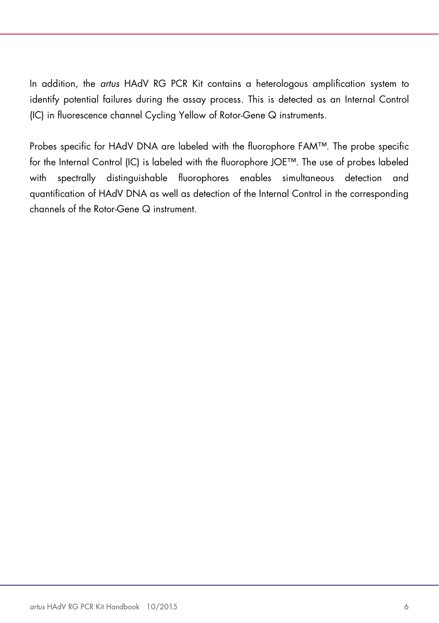In addition, the *artus* HAdV RG PCR Kit contains a heterologous amplification system to identify potential failures during the assay process. This is detected as an Internal Control (IC) in fluorescence channel Cycling Yellow of Rotor-Gene Q instruments.

Probes specific for HAdV DNA are labeled with the fluorophore FAM™. The probe specific for the Internal Control (IC) is labeled with the fluorophore JOE™. The use of probes labeled with spectrally distinguishable fluorophores enables simultaneous detection and quantification of HAdV DNA as well as detection of the Internal Control in the corresponding channels of the Rotor-Gene Q instrument.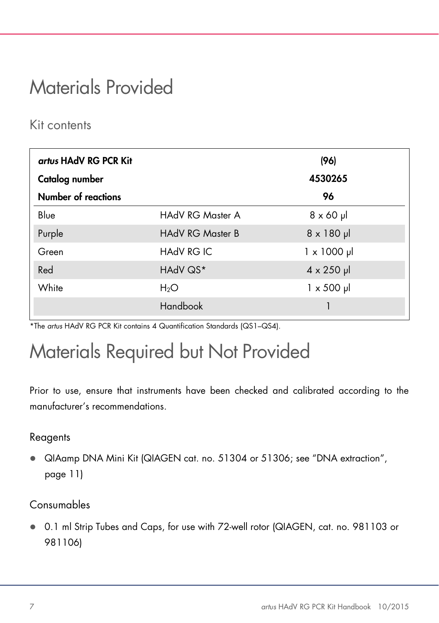# <span id="page-6-0"></span>Materials Provided

### <span id="page-6-1"></span>Kit contents

| artus HAdV RG PCR Kit      |                         | (96)               |
|----------------------------|-------------------------|--------------------|
| Catalog number             |                         | 4530265            |
| <b>Number of reactions</b> |                         | 96                 |
| Blue                       | HAdV RG Master A        | $8 \times 60$ µ    |
| Purple                     | <b>HAdV RG Master B</b> | $8 \times 180$ pl  |
| Green                      | <b>HAdV RG IC</b>       | $1 \times 1000$ µl |
| Red                        | HAdV QS*                | $4 \times 250$ µl  |
| White                      | $H_2O$                  | $1 \times 500$ µ   |
|                            | Handbook                |                    |

\*The *artus* HAdV RG PCR Kit contains 4 Quantification Standards (QS1–QS4).

# <span id="page-6-2"></span>Materials Required but Not Provided

Prior to use, ensure that instruments have been checked and calibrated according to the manufacturer's recommendations.

#### Reagents

 QIAamp DNA Mini Kit (QIAGEN cat. no. 51304 or 51306; see ["DNA extraction"](#page-10-1), page [11\)](#page-10-1)

#### Consumables

 0.1 ml Strip Tubes and Caps, for use with 72-well rotor (QIAGEN, cat. no. 981103 or 981106)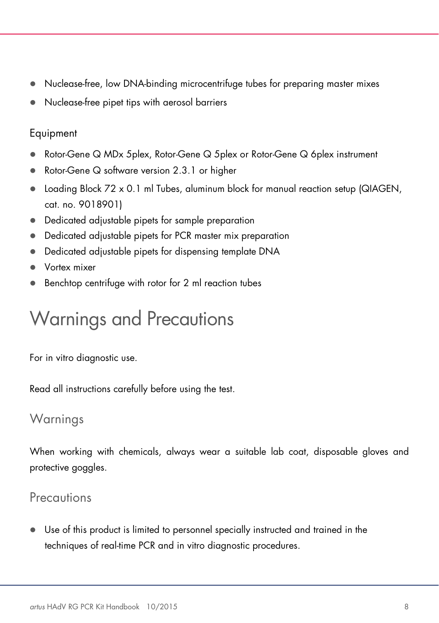- Nuclease-free, low DNA-binding microcentrifuge tubes for preparing master mixes
- Nuclease-free pipet tips with aerosol barriers

#### Equipment

- Rotor-Gene Q MDx 5plex, Rotor-Gene Q 5plex or Rotor-Gene Q 6plex instrument
- Rotor-Gene Q software version 2.3.1 or higher
- $\bullet$  Loading Block 72 x 0.1 ml Tubes, aluminum block for manual reaction setup (QIAGEN, cat. no. 9018901)
- Dedicated adjustable pipets for sample preparation
- Dedicated adjustable pipets for PCR master mix preparation
- Dedicated adjustable pipets for dispensing template DNA
- Vortex mixer
- Benchtop centrifuge with rotor for 2 ml reaction tubes

# <span id="page-7-0"></span>Warnings and Precautions

For in vitro diagnostic use.

Read all instructions carefully before using the test.

### <span id="page-7-1"></span>Warnings

When working with chemicals, always wear a suitable lab coat, disposable gloves and protective goggles.

### <span id="page-7-2"></span>**Precautions**

 Use of this product is limited to personnel specially instructed and trained in the techniques of real-time PCR and in vitro diagnostic procedures.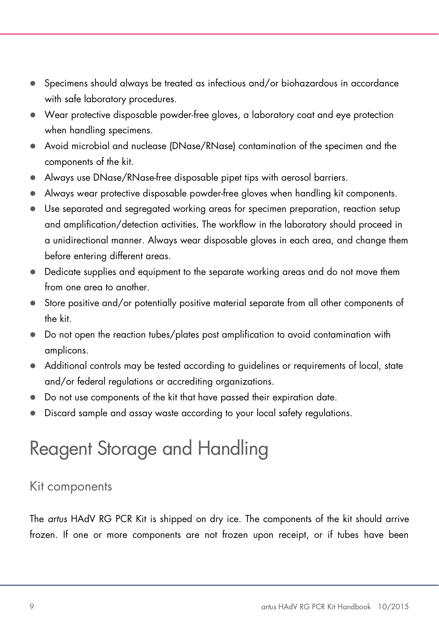- $\bullet$  Specimens should always be treated as infectious and/or biohazardous in accordance with safe laboratory procedures.
- Wear protective disposable powder-free gloves, a laboratory coat and eye protection when handling specimens.
- Avoid microbial and nuclease (DNase/RNase) contamination of the specimen and the components of the kit.
- Always use DNase/RNase-free disposable pipet tips with aerosol barriers.
- Always wear protective disposable powder-free gloves when handling kit components.
- Use separated and segregated working areas for specimen preparation, reaction setup and amplification/detection activities. The workflow in the laboratory should proceed in a unidirectional manner. Always wear disposable gloves in each area, and change them before entering different areas.
- Dedicate supplies and equipment to the separate working areas and do not move them from one area to another.
- Store positive and/or potentially positive material separate from all other components of the kit.
- Do not open the reaction tubes/plates post amplification to avoid contamination with amplicons.
- Additional controls may be tested according to guidelines or requirements of local, state and/or federal regulations or accrediting organizations.
- Do not use components of the kit that have passed their expiration date.
- Discard sample and assay waste according to your local safety regulations.

# <span id="page-8-0"></span>Reagent Storage and Handling

### <span id="page-8-1"></span>Kit components

The *artus* HAdV RG PCR Kit is shipped on dry ice. The components of the kit should arrive frozen. If one or more components are not frozen upon receipt, or if tubes have been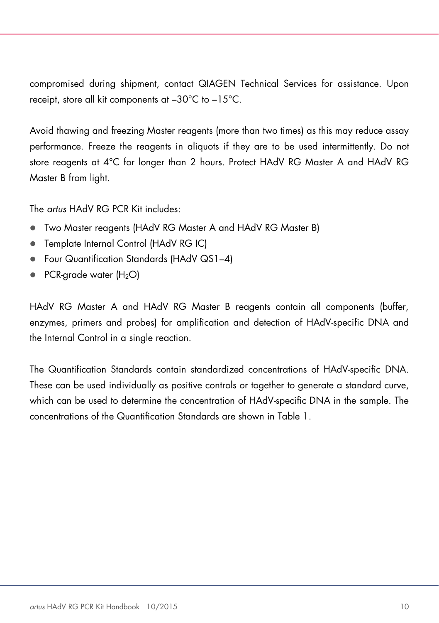compromised during shipment, contact QIAGEN Technical Services for assistance. Upon receipt, store all kit components at –30°C to –15°C.

Avoid thawing and freezing Master reagents (more than two times) as this may reduce assay performance. Freeze the reagents in aliquots if they are to be used intermittently. Do not store reagents at 4°C for longer than 2 hours. Protect HAdV RG Master A and HAdV RG Master B from light.

The *artus* HAdV RG PCR Kit includes:

- Two Master reagents (HAdV RG Master A and HAdV RG Master B)
- Template Internal Control (HAdV RG IC)
- Four Quantification Standards (HAdV QS1–4)
- $\bullet$  PCR-arade water (H<sub>2</sub>O)

HAdV RG Master A and HAdV RG Master B reagents contain all components (buffer, enzymes, primers and probes) for amplification and detection of HAdV-specific DNA and the Internal Control in a single reaction.

The Quantification Standards contain standardized concentrations of HAdV-specific DNA. These can be used individually as positive controls or together to generate a standard curve, which can be used to determine the concentration of HAdV-specific DNA in the sample. The concentrations of the Quantification Standards are shown in Table 1.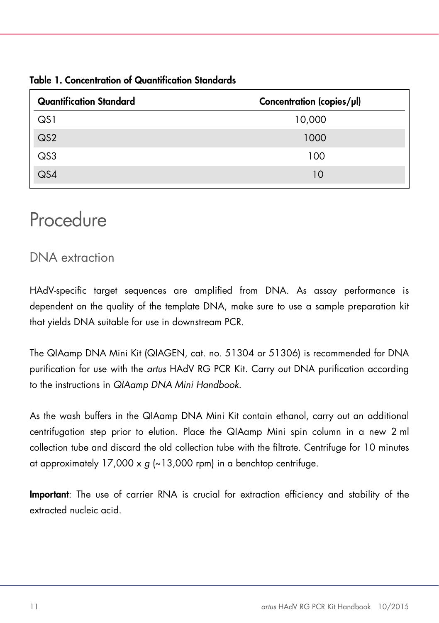| <b>Quantification Standard</b> | Concentration (copies/µl) |
|--------------------------------|---------------------------|
| QS1                            | 10,000                    |
| $\overline{\mathsf{Q}}$        | 1000                      |
| QS3                            | 100                       |
| $\overline{\mathsf{Q}}$ S4     | 10                        |

#### Table 1. Concentration of Quantification Standards

## <span id="page-10-0"></span>Procedure

### <span id="page-10-1"></span>DNA extraction

HAdV-specific target sequences are amplified from DNA. As assay performance is dependent on the quality of the template DNA, make sure to use a sample preparation kit that yields DNA suitable for use in downstream PCR.

The QIAamp DNA Mini Kit (QIAGEN, cat. no. 51304 or 51306) is recommended for DNA purification for use with the *artus* HAdV RG PCR Kit. Carry out DNA purification according to the instructions in *QIAamp DNA Mini Handbook*.

As the wash buffers in the QIAamp DNA Mini Kit contain ethanol, carry out an additional centrifugation step prior to elution. Place the QIAamp Mini spin column in a new 2 ml collection tube and discard the old collection tube with the filtrate. Centrifuge for 10 minutes at approximately  $17,000 \times g$  ( $\sim 13,000$  rpm) in a benchtop centrifuge.

Important: The use of carrier RNA is crucial for extraction efficiency and stability of the extracted nucleic acid.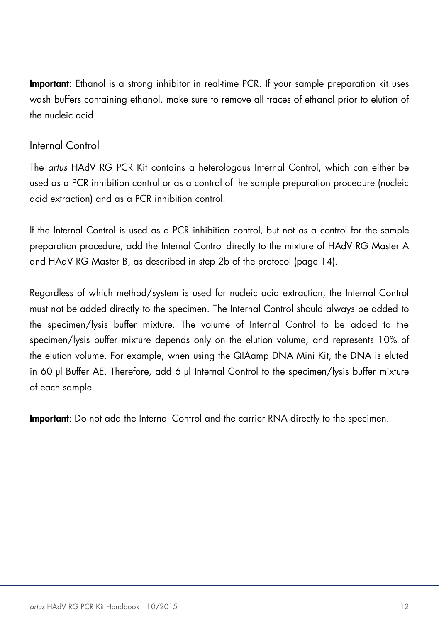Important: Ethanol is a strong inhibitor in real-time PCR. If your sample preparation kit uses wash buffers containing ethanol, make sure to remove all traces of ethanol prior to elution of the nucleic acid.

#### <span id="page-11-0"></span>Internal Control

The *artus* HAdV RG PCR Kit contains a heterologous Internal Control, which can either be used as a PCR inhibition control or as a control of the sample preparation procedure (nucleic acid extraction) and as a PCR inhibition control.

If the Internal Control is used as a PCR inhibition control, but not as a control for the sample preparation procedure, add the Internal Control directly to the mixture of HAdV RG Master A and HAdV RG Master B, as described in step 2b of the protocol (page [14\)](#page-13-0).

Regardless of which method/system is used for nucleic acid extraction, the Internal Control must not be added directly to the specimen. The Internal Control should always be added to the specimen/lysis buffer mixture. The volume of Internal Control to be added to the specimen/lysis buffer mixture depends only on the elution volume, and represents 10% of the elution volume. For example, when using the QIAamp DNA Mini Kit, the DNA is eluted in 60 μl Buffer AE. Therefore, add 6 μl Internal Control to the specimen/lysis buffer mixture of each sample.

Important: Do not add the Internal Control and the carrier RNA directly to the specimen.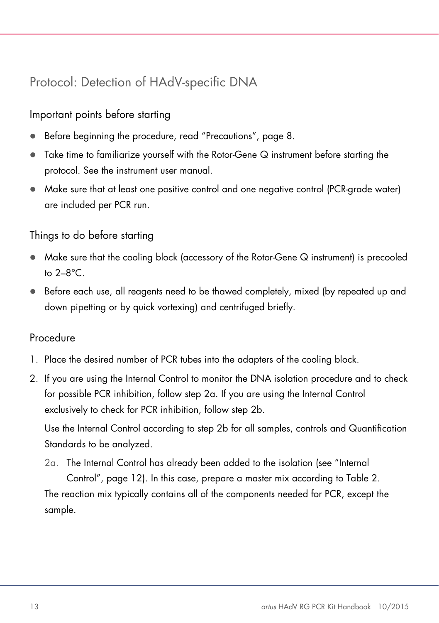### <span id="page-12-0"></span>Protocol: Detection of HAdV-specific DNA

#### Important points before starting

- Before beginning the procedure, read ["Precautions"](#page-7-2), page [8.](#page-7-2)
- Take time to familiarize yourself with the Rotor-Gene Q instrument before starting the protocol. See the instrument user manual.
- Make sure that at least one positive control and one negative control (PCR-grade water) are included per PCR run.

#### Things to do before starting

- Make sure that the cooling block (accessory of the Rotor-Gene Q instrument) is precooled to 2–8°C.
- Before each use, all reagents need to be thawed completely, mixed (by repeated up and down pipetting or by quick vortexing) and centrifuged briefly.

#### Procedure

- 1. Place the desired number of PCR tubes into the adapters of the cooling block.
- 2. If you are using the Internal Control to monitor the DNA isolation procedure and to check for possible PCR inhibition, follow step 2a. If you are using the Internal Control exclusively to check for PCR inhibition, follow step 2b.

Use the Internal Control according to step 2b for all samples, controls and Quantification Standards to be analyzed.

2a. The Internal Control has already been added to the isolation (see ["Internal](#page-11-0)  [Control"](#page-11-0), page [12\)](#page-11-0). In this case, prepare a master mix according to Table 2. The reaction mix typically contains all of the components needed for PCR, except the

sample.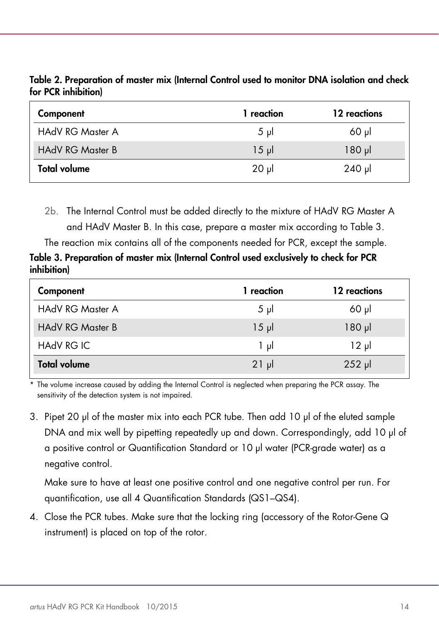Table 2. Preparation of master mix (Internal Control used to monitor DNA isolation and check for PCR inhibition)

| Component               | l reaction | 12 reactions |
|-------------------------|------------|--------------|
| <b>HAdV RG Master A</b> | $5 \mu$    | $60$ pl      |
| <b>HAdV RG Master B</b> | $15 \mu$   | $180 \mu$    |
| <b>Total volume</b>     | $20$ pl    | $240$ µ      |

<span id="page-13-0"></span>2b. The Internal Control must be added directly to the mixture of HAdV RG Master A and HAdV Master B. In this case, prepare a master mix according to Table 3. The reaction mix contains all of the components needed for PCR, except the sample.

Table 3. Preparation of master mix (Internal Control used exclusively to check for PCR inhibition)

| Component               | 1 reaction | 12 reactions |
|-------------------------|------------|--------------|
| <b>HAdV RG Master A</b> | $5 \mu$    | $60$ pl      |
| <b>HAdV RG Master B</b> | $15 \mu$   | $180$ $\mu$  |
| HAdV RG IC              | ار 1       | ار 12        |
| <b>Total volume</b>     | $21$ µ     | $252$ µ      |

\* The volume increase caused by adding the Internal Control is neglected when preparing the PCR assay. The sensitivity of the detection system is not impaired.

3. Pipet 20 μl of the master mix into each PCR tube. Then add 10 μl of the eluted sample DNA and mix well by pipetting repeatedly up and down. Correspondingly, add 10 μl of a positive control or Quantification Standard or 10 μl water (PCR-grade water) as a negative control.

Make sure to have at least one positive control and one negative control per run. For quantification, use all 4 Quantification Standards (QS1–QS4).

4. Close the PCR tubes. Make sure that the locking ring (accessory of the Rotor-Gene Q instrument) is placed on top of the rotor.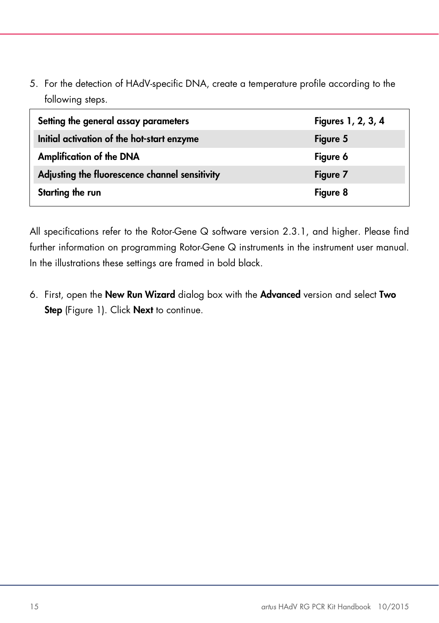5. For the detection of HAdV-specific DNA, create a temperature profile according to the following steps.

| Setting the general assay parameters           | Figures 1, 2, 3, 4 |
|------------------------------------------------|--------------------|
| Initial activation of the hot-start enzyme     | Figure 5           |
| <b>Amplification of the DNA</b>                | Figure 6           |
| Adjusting the fluorescence channel sensitivity | Figure 7           |
| Starting the run                               | Figure 8           |

All specifications refer to the Rotor-Gene Q software version 2.3.1, and higher. Please find further information on programming Rotor-Gene Q instruments in the instrument user manual. In the illustrations these settings are framed in bold black.

6. First, open the New Run Wizard dialog box with the Advanced version and select Two Step (Figure 1). Click Next to continue.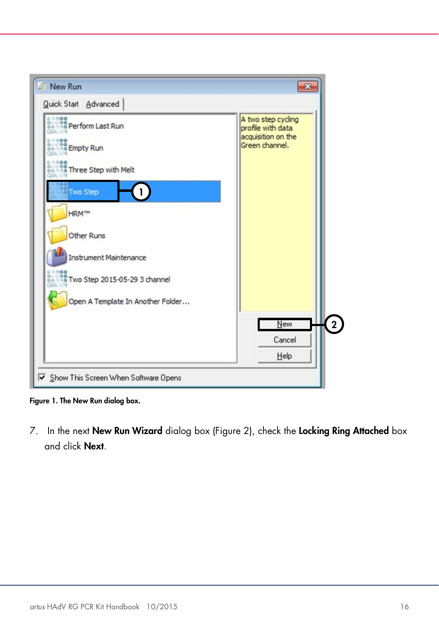

Figure 1. The New Run dialog box.

7. In the next New Run Wizard dialog box (Figure 2), check the Locking Ring Attached box and click Next.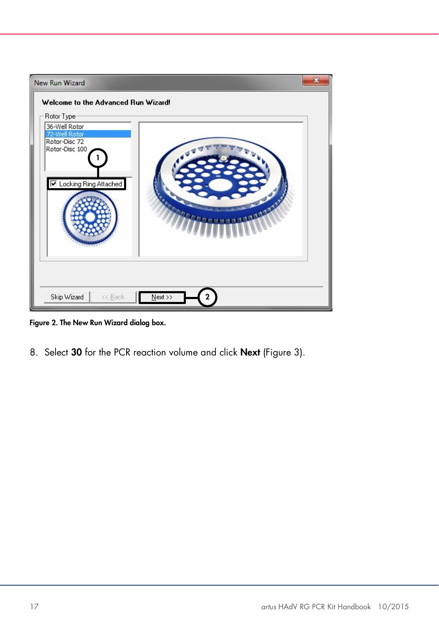

Figure 2. The New Run Wizard dialog box.

8. Select 30 for the PCR reaction volume and click Next (Figure 3).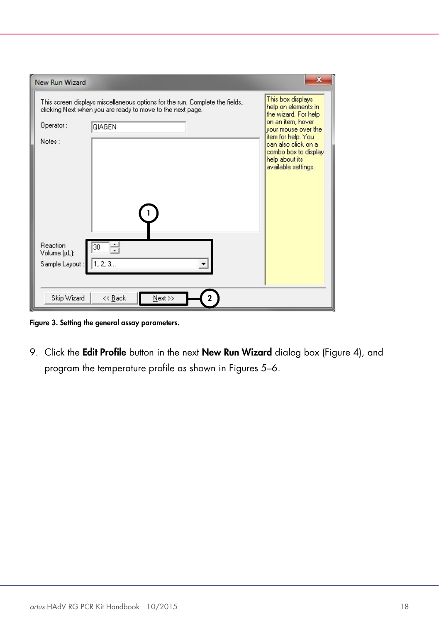| <b>New Run Wizard</b>                      |                                                                                                                                            |                                                                                                            |
|--------------------------------------------|--------------------------------------------------------------------------------------------------------------------------------------------|------------------------------------------------------------------------------------------------------------|
|                                            | This screen displays miscellaneous options for the run. Complete the fields,<br>clicking Next when you are ready to move to the next page. | This box displays<br>help on elements in<br>the wizard. For help                                           |
| Operator:                                  | <b>QIAGEN</b>                                                                                                                              | on an item, hover<br>your mouse over the                                                                   |
| Notes:                                     |                                                                                                                                            | item for help. You<br>can also click on a<br>combo box to display<br>help about its<br>available settings. |
| Reaction<br>Volume (µL):<br>Sample Layout: | 30<br>1, 2, 3                                                                                                                              |                                                                                                            |
| Skip Wizard                                | $<<$ Back<br>Next >>                                                                                                                       |                                                                                                            |

Figure 3. Setting the general assay parameters.

9. Click the Edit Profile button in the next New Run Wizard dialog box (Figure 4), and program the temperature profile as shown in Figures 5–6.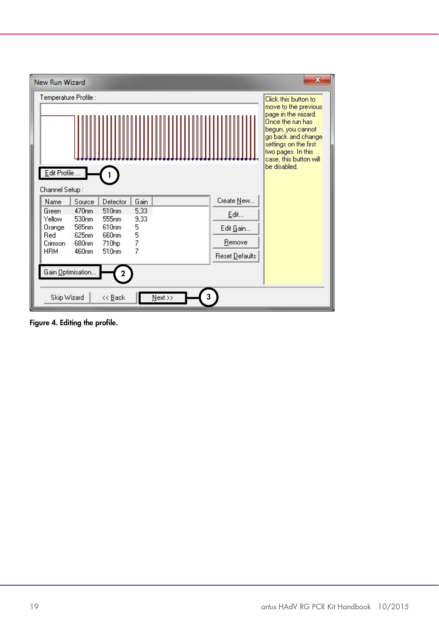

Figure 4. Editing the profile.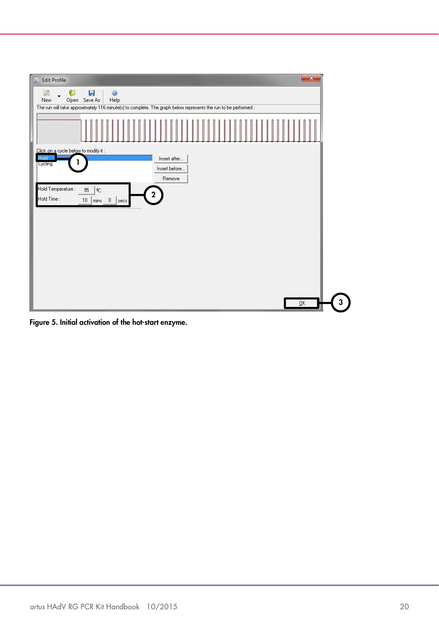

Figure 5. Initial activation of the hot-start enzyme.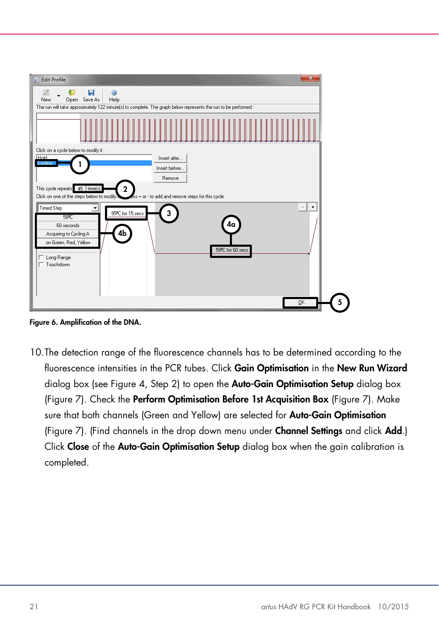![](_page_20_Figure_0.jpeg)

Figure 6. Amplification of the DNA.

10.The detection range of the fluorescence channels has to be determined according to the fluorescence intensities in the PCR tubes. Click Gain Optimisation in the New Run Wizard dialog box (see Figure 4, Step 2) to open the **Auto-Gain Optimisation Setup** dialog box (Figure 7). Check the Perform Optimisation Before 1st Acquisition Box (Figure 7). Make sure that both channels (Green and Yellow) are selected for **Auto-Gain Optimisation** (Figure 7). (Find channels in the drop down menu under Channel Settings and click Add.) Click Close of the Auto-Gain Optimisation Setup dialog box when the gain calibration is completed.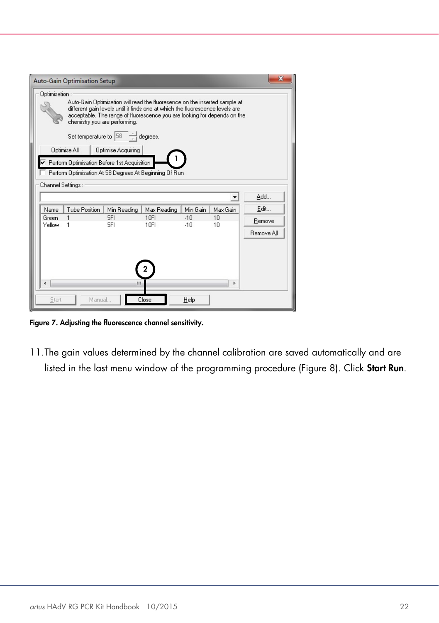|                                                                                                                                                                                                                                                                                           | Auto-Gain Optimisation Setup |                                                        |                     |                |          |            |
|-------------------------------------------------------------------------------------------------------------------------------------------------------------------------------------------------------------------------------------------------------------------------------------------|------------------------------|--------------------------------------------------------|---------------------|----------------|----------|------------|
| Optimisation:<br>Auto-Gain Optimisation will read the fluoresence on the inserted sample at<br>different gain levels until it finds one at which the fluorescence levels are<br>acceptable. The range of fluorescence you are looking for depends on the<br>chemistry you are performing. |                              |                                                        |                     |                |          |            |
|                                                                                                                                                                                                                                                                                           |                              | Set temperature to $\boxed{58}$ $\rightarrow$ degrees. |                     |                |          |            |
| Optimise All<br>Optimise Acquiring<br>Perform Optimisation Before 1st Acquisition<br>Perform Optimisation At 58 Degrees At Beginning Of Run                                                                                                                                               |                              |                                                        |                     |                |          |            |
| Channel Settings:                                                                                                                                                                                                                                                                         |                              |                                                        |                     |                |          | Add        |
| Name                                                                                                                                                                                                                                                                                      | Tube Position                | Min Reading                                            | Max Reading         | Min Gain       | Max Gain | Edit       |
| Green<br>Yellow                                                                                                                                                                                                                                                                           |                              | 5FI<br>5FI                                             | <b>10FI</b><br>10FI | $-10$<br>$-10$ | 10<br>10 | Remove     |
|                                                                                                                                                                                                                                                                                           |                              |                                                        |                     |                |          | Remove All |
| Ш                                                                                                                                                                                                                                                                                         |                              |                                                        |                     |                |          |            |
| Start                                                                                                                                                                                                                                                                                     | Manual                       |                                                        | Close               | Help           |          |            |

Figure 7. Adjusting the fluorescence channel sensitivity.

11.The gain values determined by the channel calibration are saved automatically and are listed in the last menu window of the programming procedure (Figure 8). Click Start Run.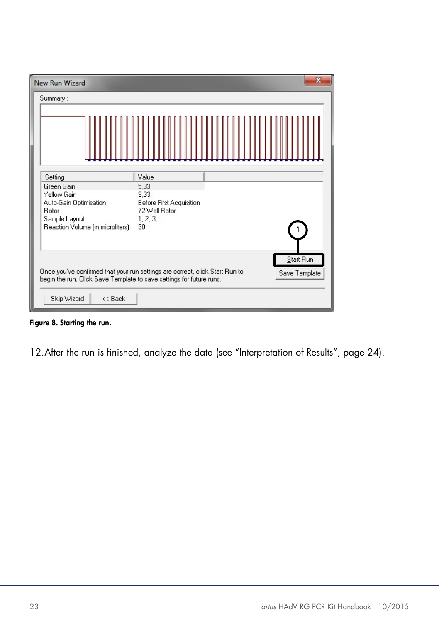| New Run Wizard                                                       | ×                                                                                                          |
|----------------------------------------------------------------------|------------------------------------------------------------------------------------------------------------|
| Summary:                                                             |                                                                                                            |
|                                                                      |                                                                                                            |
| Setting                                                              | Value                                                                                                      |
| Green Gain<br>Yellow Gain                                            | 5,33<br>9,33                                                                                               |
| Auto-Gain Optimisation<br>Rotor                                      | Before First Acquisition<br>72-Well Rotor                                                                  |
| Sample Layout<br>Reaction Volume (in microliters)                    | 1, 2, 3,<br>30                                                                                             |
|                                                                      |                                                                                                            |
|                                                                      | Start Run<br>Once you've confirmed that your run settings are correct, click Start Run to<br>Save Template |
| begin the run. Click Save Template to save settings for future runs. |                                                                                                            |
| Skip Wizard<br><< Back                                               |                                                                                                            |

Figure 8. Starting the run.

12.After the run is finished, analyze the data (see ["Interpretation of Results"](#page-23-0), page [24\)](#page-23-0).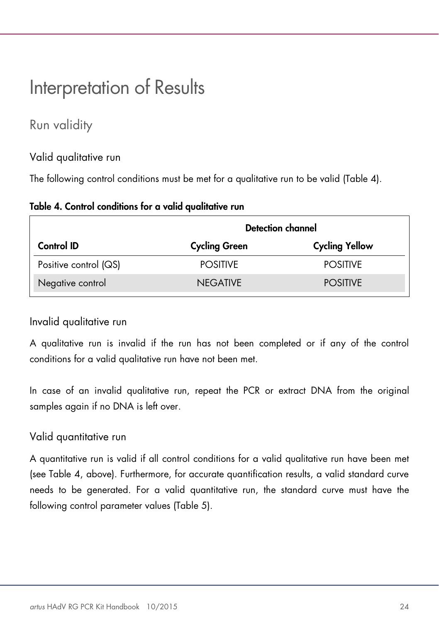# <span id="page-23-0"></span>Interpretation of Results

### <span id="page-23-1"></span>Run validity

#### Valid qualitative run

The following control conditions must be met for a qualitative run to be valid (Table 4).

|                       | Detection channel    |                       |  |
|-----------------------|----------------------|-----------------------|--|
| <b>Control ID</b>     | <b>Cycling Green</b> | <b>Cycling Yellow</b> |  |
| Positive control (QS) | <b>POSITIVE</b>      | <b>POSITIVE</b>       |  |
| Negative control      | <b>NEGATIVE</b>      | <b>POSITIVE</b>       |  |

#### Table 4. Control conditions for a valid qualitative run

#### Invalid qualitative run

A qualitative run is invalid if the run has not been completed or if any of the control conditions for a valid qualitative run have not been met.

In case of an invalid qualitative run, repeat the PCR or extract DNA from the original samples again if no DNA is left over.

#### Valid quantitative run

A quantitative run is valid if all control conditions for a valid qualitative run have been met (see Table 4, above). Furthermore, for accurate quantification results, a valid standard curve needs to be generated. For a valid quantitative run, the standard curve must have the following control parameter values (Table 5).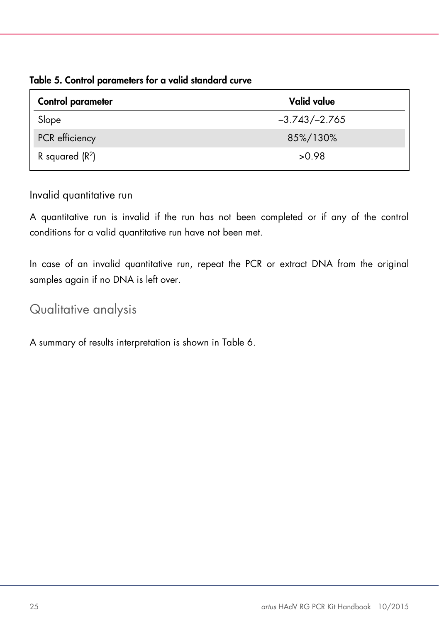Table 5. Control parameters for a valid standard curve

| Control parameter | Valid value     |
|-------------------|-----------------|
| Slope             | $-3.743/-2.765$ |
| PCR efficiency    | 85%/130%        |
| R squared $(R2)$  | >0.98           |

Invalid quantitative run

A quantitative run is invalid if the run has not been completed or if any of the control conditions for a valid quantitative run have not been met.

In case of an invalid quantitative run, repeat the PCR or extract DNA from the original samples again if no DNA is left over.

### <span id="page-24-0"></span>Qualitative analysis

A summary of results interpretation is shown in Table 6.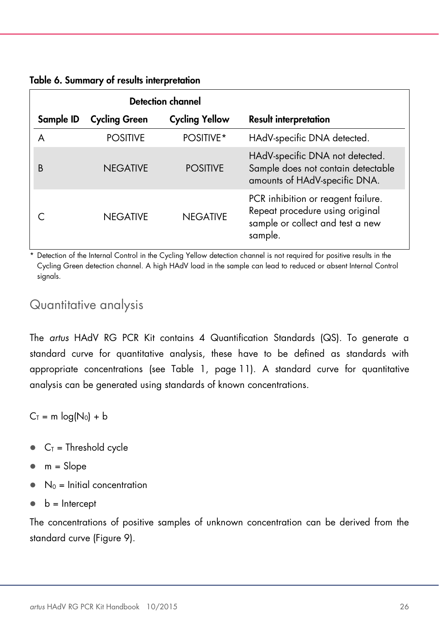| Table 6. Summary of results interpretation |  |  |
|--------------------------------------------|--|--|
|--------------------------------------------|--|--|

|           |                      | <b>Detection channel</b> |                                                                                                                      |
|-----------|----------------------|--------------------------|----------------------------------------------------------------------------------------------------------------------|
| Sample ID | <b>Cycling Green</b> | <b>Cycling Yellow</b>    | <b>Result interpretation</b>                                                                                         |
|           | <b>POSITIVE</b>      | POSITIVE*                | HAdV-specific DNA detected.                                                                                          |
| B         | <b>NFGATIVE</b>      | <b>POSITIVE</b>          | HAdV-specific DNA not detected.<br>Sample does not contain detectable<br>amounts of HAdV-specific DNA.               |
|           | <b>NFGATIVE</b>      | <b>NEGATIVE</b>          | PCR inhibition or reagent failure.<br>Repeat procedure using original<br>sample or collect and test a new<br>sample. |

Detection of the Internal Control in the Cycling Yellow detection channel is not required for positive results in the Cycling Green detection channel. A high HAdV load in the sample can lead to reduced or absent Internal Control signals.

### <span id="page-25-0"></span>Quantitative analysis

The *artus* HAdV RG PCR Kit contains 4 Quantification Standards (QS). To generate a standard curve for quantitative analysis, these have to be defined as standards with appropriate concentrations (see Table 1, page [11\)](#page-10-0). A standard curve for quantitative analysis can be generated using standards of known concentrations.

 $C_T = m log(N_0) + b$ 

- $C_T$  = Threshold cycle
- $m = Slope$
- $N_0$  = Initial concentration
- $\bullet$  b = Intercept

The concentrations of positive samples of unknown concentration can be derived from the standard curve (Figure 9).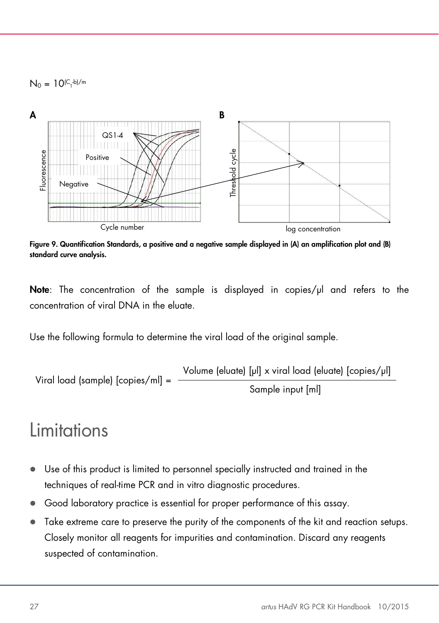$N_0 = 10^{(C_7-b)/m}$ 

![](_page_26_Figure_1.jpeg)

Figure 9. Quantification Standards, a positive and a negative sample displayed in (A) an amplification plot and (B) standard curve analysis.

Note: The concentration of the sample is displayed in copies/ul and refers to the concentration of viral DNA in the eluate.

Use the following formula to determine the viral load of the original sample.

Viral load (sample) [copies/ml] = 
$$
\frac{\text{Volume (eluate) [pl] x viral load (eluate) [copies/ml]}}{\text{Sample input [ml]}}
$$

### <span id="page-26-0"></span>Limitations

- Use of this product is limited to personnel specially instructed and trained in the techniques of real-time PCR and in vitro diagnostic procedures.
- Good laboratory practice is essential for proper performance of this assay.
- Take extreme care to preserve the purity of the components of the kit and reaction setups. Closely monitor all reagents for impurities and contamination. Discard any reagents suspected of contamination.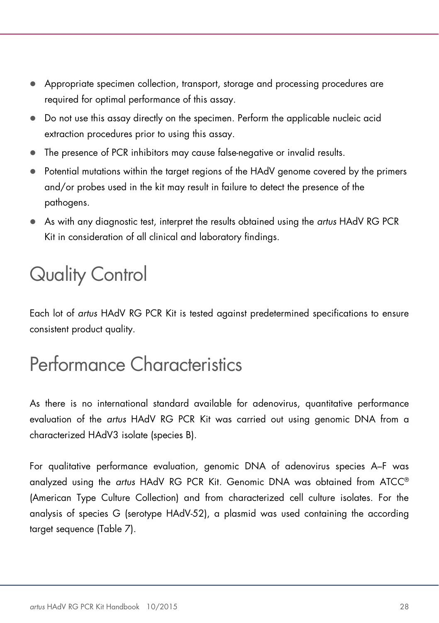- Appropriate specimen collection, transport, storage and processing procedures are required for optimal performance of this assay.
- Do not use this assay directly on the specimen. Perform the applicable nucleic acid extraction procedures prior to using this assay.
- The presence of PCR inhibitors may cause false-negative or invalid results.
- Potential mutations within the target regions of the HAdV genome covered by the primers and/or probes used in the kit may result in failure to detect the presence of the pathogens.
- As with any diagnostic test, interpret the results obtained using the *artus* HAdV RG PCR Kit in consideration of all clinical and laboratory findings.

# <span id="page-27-0"></span>Quality Control

Each lot of *artus* HAdV RG PCR Kit is tested against predetermined specifications to ensure consistent product quality.

# <span id="page-27-1"></span>Performance Characteristics

As there is no international standard available for adenovirus, quantitative performance evaluation of the *artus* HAdV RG PCR Kit was carried out using genomic DNA from a characterized HAdV3 isolate (species B).

For qualitative performance evaluation, genomic DNA of adenovirus species A–F was analyzed using the *artus* HAdV RG PCR Kit. Genomic DNA was obtained from ATCC® (American Type Culture Collection) and from characterized cell culture isolates. For the analysis of species G (serotype HAdV-52), a plasmid was used containing the according target sequence (Table 7).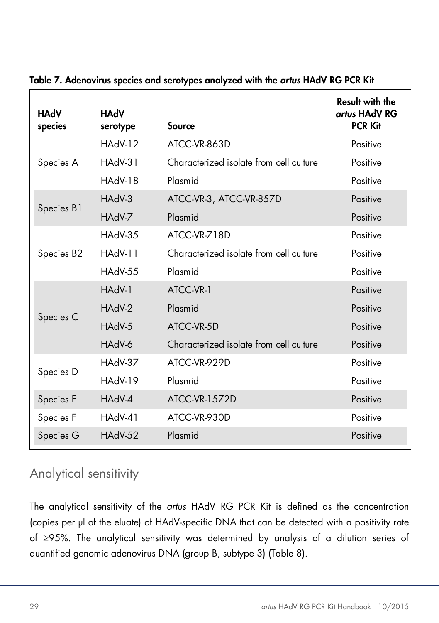| HAdV<br>species | HAdV<br>serotype | <b>Source</b>                           | <b>Result with the</b><br>artus HAdV RG<br><b>PCR Kit</b> |
|-----------------|------------------|-----------------------------------------|-----------------------------------------------------------|
|                 | HAdV-12          | ATCC-VR-863D                            | Positive                                                  |
| Species A       | $HAdV-31$        | Characterized isolate from cell culture | Positive                                                  |
|                 | HAdV-18          | Plasmid                                 | Positive                                                  |
|                 | $HAdV-3$         | ATCC-VR-3, ATCC-VR-857D                 | Positive                                                  |
| Species B1      | HAdV-7           | Plasmid                                 | Positive                                                  |
|                 | HAdV-35          | ATCC-VR-718D                            | Positive                                                  |
| Species B2      | HAdV-11          | Characterized isolate from cell culture | Positive                                                  |
|                 | <b>HAdV-55</b>   | Plasmid                                 | Positive                                                  |
|                 | HAdV-1           | ATCC-VR-1                               | Positive                                                  |
|                 | HAdV-2           | Plasmid                                 | Positive                                                  |
| Species C       | HAdV-5           | ATCC-VR-5D                              | Positive                                                  |
|                 | HAdV-6           | Characterized isolate from cell culture | Positive                                                  |
|                 | HAdV-37          | ATCC-VR-929D                            | Positive                                                  |
| Species D       | HAdV-19          | Plasmid                                 | Positive                                                  |
| Species E       | HAdV-4           | <b>ATCC-VR-1572D</b>                    | Positive                                                  |
| Species F       | HAdV-41          | ATCC-VR-930D                            | Positive                                                  |
| Species G       | HAdV-52          | Plasmid                                 | Positive                                                  |

Table 7. Adenovirus species and serotypes analyzed with the *artus* HAdV RG PCR Kit

### <span id="page-28-0"></span>Analytical sensitivity

The analytical sensitivity of the *artus* HAdV RG PCR Kit is defined as the concentration (copies per µl of the eluate) of HAdV-specific DNA that can be detected with a positivity rate of ≥95%. The analytical sensitivity was determined by analysis of a dilution series of quantified genomic adenovirus DNA (group B, subtype 3) (Table 8).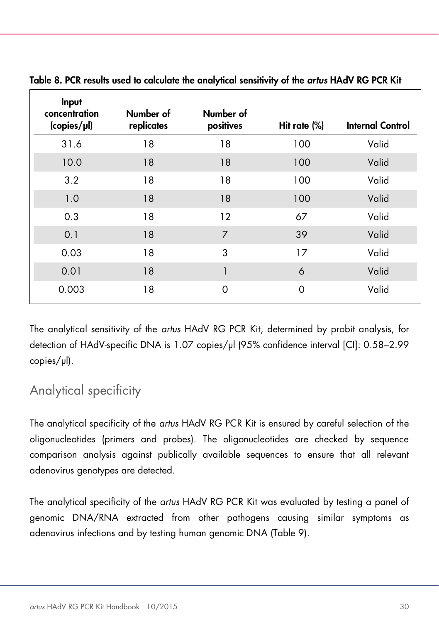| Input<br>concentration<br>$\langle \text{copies}/\mu \rangle$ | Number of<br>replicates | Number of<br>positives | Hit rate (%) | <b>Internal Control</b> |
|---------------------------------------------------------------|-------------------------|------------------------|--------------|-------------------------|
| 31.6                                                          | 18                      | 18                     | 100          | Valid                   |
| 10.0                                                          | 18                      | 18                     | 100          | Valid                   |
| 3.2                                                           | 18                      | 18                     | 100          | Valid                   |
| 1.0                                                           | 18                      | 18                     | 100          | Valid                   |
| 0.3                                                           | 18                      | 12                     | 67           | Valid                   |
| 0.1                                                           | 18                      | 7                      | 39           | Valid                   |
| 0.03                                                          | 18                      | 3                      | 17           | Valid                   |
| 0.01                                                          | 18                      |                        | 6            | Valid                   |
| 0.003                                                         | 18                      | $\Omega$               | 0            | Valid                   |

Table 8. PCR results used to calculate the analytical sensitivity of the *artus* HAdV RG PCR Kit

The analytical sensitivity of the *artus* HAdV RG PCR Kit, determined by probit analysis, for detection of HAdV-specific DNA is 1.07 copies/μl (95% confidence interval [CI]: 0.58–2.99 copies/μl).

### <span id="page-29-0"></span>Analytical specificity

The analytical specificity of the *artus* HAdV RG PCR Kit is ensured by careful selection of the oligonucleotides (primers and probes). The oligonucleotides are checked by sequence comparison analysis against publically available sequences to ensure that all relevant adenovirus genotypes are detected.

The analytical specificity of the *artus* HAdV RG PCR Kit was evaluated by testing a panel of genomic DNA/RNA extracted from other pathogens causing similar symptoms as adenovirus infections and by testing human genomic DNA (Table 9).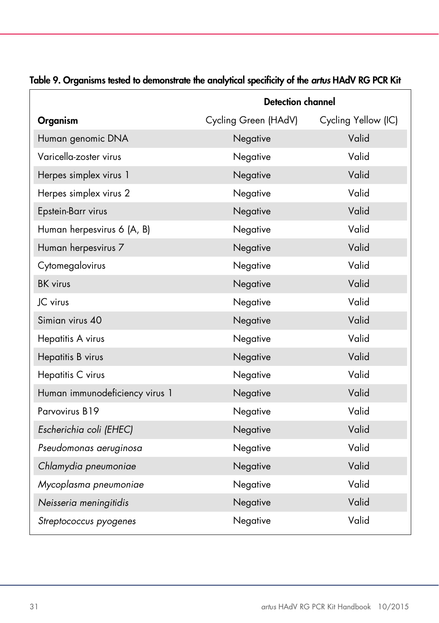|                                | <b>Detection channel</b> |                     |  |
|--------------------------------|--------------------------|---------------------|--|
| Organism                       | Cycling Green (HAdV)     | Cycling Yellow (IC) |  |
| Human genomic DNA              | Negative                 | Valid               |  |
| Varicella-zoster virus         | Negative                 | Valid               |  |
| Herpes simplex virus 1         | Negative                 | Valid               |  |
| Herpes simplex virus 2         | Negative                 | Valid               |  |
| Epstein-Barr virus             | Negative                 | Valid               |  |
| Human herpesvirus 6 (A, B)     | Negative                 | Valid               |  |
| Human herpesvirus 7            | Negative                 | Valid               |  |
| Cytomegalovirus                | Negative                 | Valid               |  |
| <b>BK</b> virus                | Negative                 | Valid               |  |
| JC virus                       | Negative                 | Valid               |  |
| Simian virus 40                | Negative                 | Valid               |  |
| Hepatitis A virus              | Negative                 | Valid               |  |
| Hepatitis B virus              | Negative                 | Valid               |  |
| Hepatitis C virus              | Negative                 | Valid               |  |
| Human immunodeficiency virus 1 | Negative                 | Valid               |  |
| Parvovirus B19                 | Negative                 | Valid               |  |
| Escherichia coli (EHEC)        | Negative                 | Valid               |  |
| Pseudomonas aeruginosa         | Negative                 | Valid               |  |
| Chlamydia pneumoniae           | Negative                 | Valid               |  |
| Mycoplasma pneumoniae          | Negative                 | Valid               |  |
| Neisseria meningitidis         | Negative                 | Valid               |  |
| Streptococcus pyogenes         | Negative                 | Valid               |  |

#### Table 9. Organisms tested to demonstrate the analytical specificity of the *artus* HAdV RG PCR Kit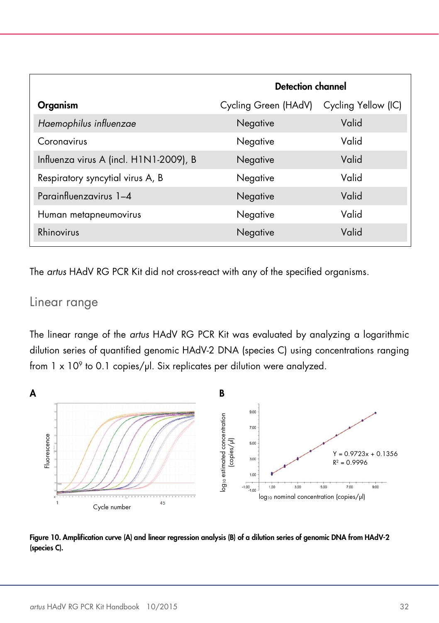|                                        | <b>Detection channel</b> |                     |
|----------------------------------------|--------------------------|---------------------|
| Organism                               | Cycling Green (HAdV)     | Cycling Yellow (IC) |
| Haemophilus influenzae                 | Negative                 | Valid               |
| Coronavirus                            | Negative                 | Valid               |
| Influenza virus A (incl. H1N1-2009), B | Negative                 | Valid               |
| Respiratory syncytial virus A, B       | Negative                 | Valid               |
| Parainfluenzavirus 1-4                 | Negative                 | Valid               |
| Human metapneumovirus                  | Negative                 | Valid               |
| Rhinovirus                             | Negative                 | Valid               |

The *artus* HAdV RG PCR Kit did not cross-react with any of the specified organisms.

### <span id="page-31-0"></span>Linear range

The linear range of the *artus* HAdV RG PCR Kit was evaluated by analyzing a logarithmic dilution series of quantified genomic HAdV-2 DNA (species C) using concentrations ranging from  $1 \times 10^9$  to 0.1 copies/ $\mu$ l. Six replicates per dilution were analyzed.

![](_page_31_Figure_4.jpeg)

![](_page_31_Figure_5.jpeg)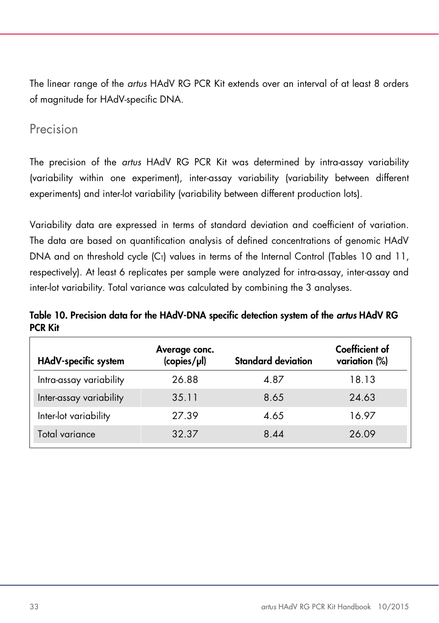The linear range of the *artus* HAdV RG PCR Kit extends over an interval of at least 8 orders of magnitude for HAdV-specific DNA.

### <span id="page-32-0"></span>Precision

The precision of the *artus* HAdV RG PCR Kit was determined by intra-assay variability (variability within one experiment), inter-assay variability (variability between different experiments) and inter-lot variability (variability between different production lots).

Variability data are expressed in terms of standard deviation and coefficient of variation. The data are based on quantification analysis of defined concentrations of genomic HAdV DNA and on threshold cycle  $|C_1|$  values in terms of the Internal Control (Tables 10 and 11, respectively). At least 6 replicates per sample were analyzed for intra-assay, inter-assay and inter-lot variability. Total variance was calculated by combining the 3 analyses.

Table 10. Precision data for the HAdV-DNA specific detection system of the *artus* HAdV RG PCR Kit

| HAdV-specific system    | Average conc.<br>(copies/µl) | <b>Standard deviation</b> | Coefficient of<br>variation (%) |
|-------------------------|------------------------------|---------------------------|---------------------------------|
| Intra-assay variability | 26.88                        | 4.87                      | 18.13                           |
| Inter-assay variability | 35.11                        | 8.65                      | 24.63                           |
| Inter-lot variability   | 27.39                        | 4.65                      | 16.97                           |
| Total variance          | 32.37                        | 8.44                      | 26.09                           |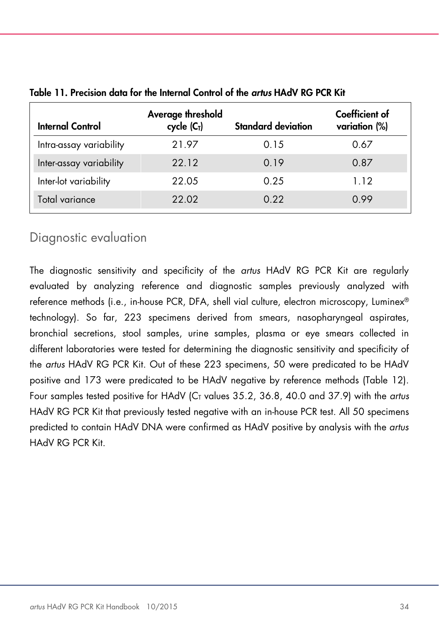| <b>Internal Control</b> | Average threshold<br>cycle $(CT)$ | <b>Standard deviation</b> | Coefficient of<br>variation (%) |
|-------------------------|-----------------------------------|---------------------------|---------------------------------|
| Intra-assay variability | 21.97                             | 0.15                      | 0.67                            |
| Inter-assay variability | 22.12                             | 0.19                      | 0.87                            |
| Inter-lot variability   | 22.05                             | 0.25                      | 1.12                            |
| Total variance          | 22.02                             | 0.22                      | 0.99                            |

#### Table 11. Precision data for the Internal Control of the *artus* HAdV RG PCR Kit

### <span id="page-33-0"></span>Diagnostic evaluation

The diagnostic sensitivity and specificity of the *artus* HAdV RG PCR Kit are regularly evaluated by analyzing reference and diagnostic samples previously analyzed with reference methods (i.e., in-house PCR, DFA, shell vial culture, electron microscopy, Luminex® technology). So far, 223 specimens derived from smears, nasopharyngeal aspirates, bronchial secretions, stool samples, urine samples, plasma or eye smears collected in different laboratories were tested for determining the diagnostic sensitivity and specificity of the *artus* HAdV RG PCR Kit. Out of these 223 specimens, 50 were predicated to be HAdV positive and 173 were predicated to be HAdV negative by reference methods (Table 12). Four samples tested positive for HAdV (C<sub>T</sub> values 35.2, 36.8, 40.0 and 37.9) with the *artus* HAdV RG PCR Kit that previously tested negative with an in-house PCR test. All 50 specimens predicted to contain HAdV DNA were confirmed as HAdV positive by analysis with the *artus* HAdV RG PCR Kit.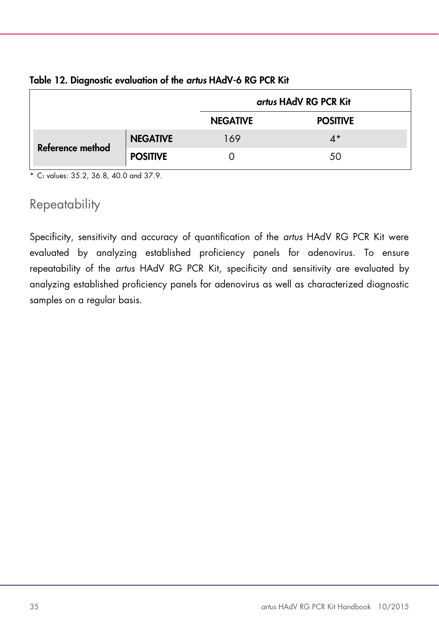|                  |                 | artus HAdV RG PCR Kit |                 |
|------------------|-----------------|-----------------------|-----------------|
|                  |                 | <b>NEGATIVE</b>       | <b>POSITIVE</b> |
| Reference method | <b>NEGATIVE</b> | 169                   | $4^*$           |
|                  | <b>POSITIVE</b> |                       | 50              |

#### Table 12. Diagnostic evaluation of the *artus* HAdV-6 RG PCR Kit

 $*$  C<sub>T</sub> values: 35.2, 36.8, 40.0 and 37.9.

### <span id="page-34-0"></span>**Repeatability**

Specificity, sensitivity and accuracy of quantification of the *artus* HAdV RG PCR Kit were evaluated by analyzing established proficiency panels for adenovirus. To ensure repeatability of the *artus* HAdV RG PCR Kit, specificity and sensitivity are evaluated by analyzing established proficiency panels for adenovirus as well as characterized diagnostic samples on a regular basis.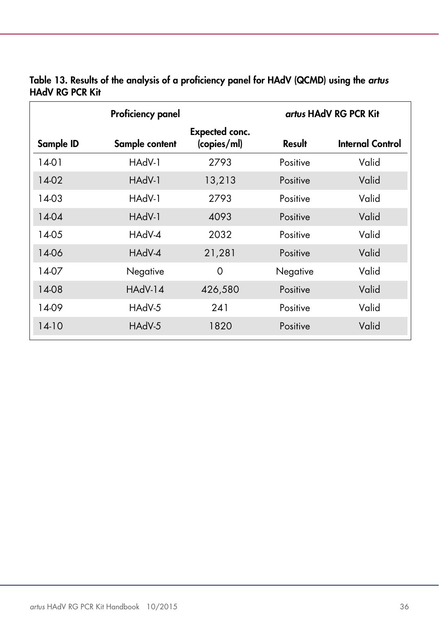|           | Proficiency panel |                               |          | artus HAdV RG PCR Kit |
|-----------|-------------------|-------------------------------|----------|-----------------------|
| Sample ID | Sample content    | Expected conc.<br>(copies/ml) | Result   | Internal Control      |
| 14-01     | HAdV-1            | 2793                          | Positive | Valid                 |
| 14-02     | HAdV-1            | 13,213                        | Positive | Valid                 |
| 14-03     | HAdV-1            | 2793                          | Positive | Valid                 |
| 14-04     | HAdV-1            | 4093                          | Positive | Valid                 |
| 14-05     | HAdV-4            | 2032                          | Positive | Valid                 |
| 14-06     | HAdV-4            | 21,281                        | Positive | Valid                 |
| 14-07     | Negative          | 0                             | Negative | Valid                 |
| 14-08     | HAdV-14           | 426,580                       | Positive | Valid                 |
| 14-09     | HAdV-5            | 241                           | Positive | Valid                 |
| $14-10$   | HAdV-5            | 1820                          | Positive | Valid                 |

#### Table 13. Results of the analysis of a proficiency panel for HAdV (QCMD) using the *artus* HAdV RG PCR Kit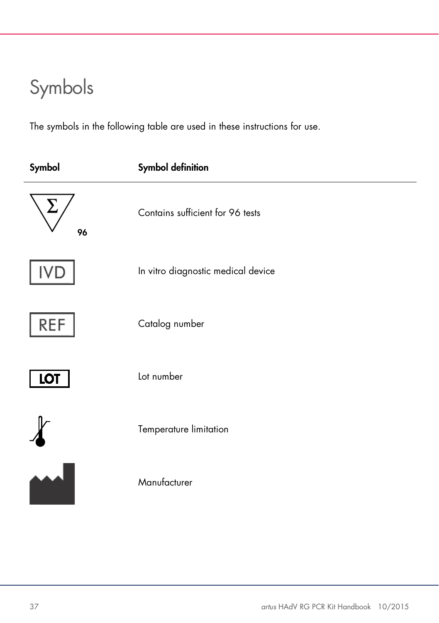# <span id="page-36-0"></span>Symbols

The symbols in the following table are used in these instructions for use.

| Symbol     | <b>Symbol definition</b>           |
|------------|------------------------------------|
| 96         | Contains sufficient for 96 tests   |
|            | In vitro diagnostic medical device |
| <b>REF</b> | Catalog number                     |
| <b>LOT</b> | Lot number                         |
|            | Temperature limitation             |
|            | Manufacturer                       |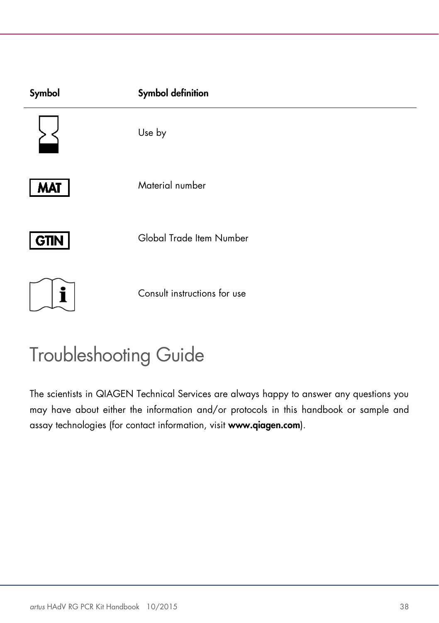| Symbol      | <b>Symbol definition</b>     |
|-------------|------------------------------|
|             | Use by                       |
| <b>MAT</b>  | Material number              |
| <b>GTIN</b> | Global Trade Item Number     |
| i           | Consult instructions for use |

# <span id="page-37-0"></span>Troubleshooting Guide

The scientists in QIAGEN Technical Services are always happy to answer any questions you may have about either the information and/or protocols in this handbook or sample and assay technologies (for contact information, visit www.qiagen.com).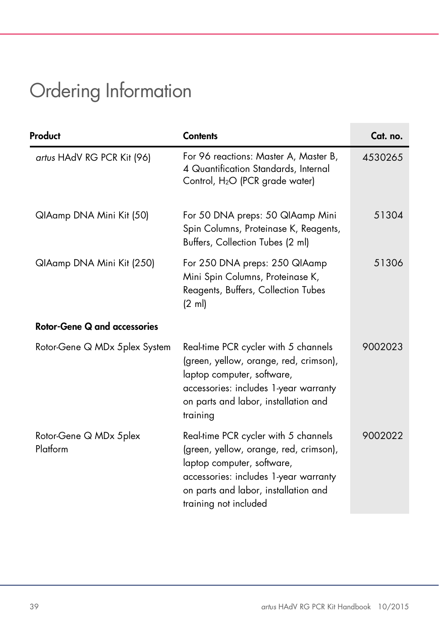# <span id="page-38-0"></span>Ordering Information

| Product                             | <b>Contents</b>                                                                                                                                                                                                        | Cat. no. |
|-------------------------------------|------------------------------------------------------------------------------------------------------------------------------------------------------------------------------------------------------------------------|----------|
| artus HAdV RG PCR Kit (96)          | For 96 reactions: Master A, Master B,<br>4 Quantification Standards, Internal<br>Control, H <sub>2</sub> O (PCR grade water)                                                                                           | 4530265  |
| QIAamp DNA Mini Kit (50)            | For 50 DNA preps: 50 QIAamp Mini<br>Spin Columns, Proteinase K, Reagents,<br>Buffers, Collection Tubes (2 ml)                                                                                                          | 51304    |
| QIAamp DNA Mini Kit (250)           | For 250 DNA preps: 250 QIAamp<br>Mini Spin Columns, Proteinase K,<br>Reagents, Buffers, Collection Tubes<br>$(2 \text{ ml})$                                                                                           | 51306    |
| <b>Rotor-Gene Q and accessories</b> |                                                                                                                                                                                                                        |          |
| Rotor-Gene Q MDx 5plex System       | Real-time PCR cycler with 5 channels<br>(green, yellow, orange, red, crimson),<br>laptop computer, software,<br>accessories: includes 1-year warranty<br>on parts and labor, installation and<br>training              | 9002023  |
| Rotor-Gene Q MDx 5plex<br>Platform  | Real-time PCR cycler with 5 channels<br>(green, yellow, orange, red, crimson),<br>laptop computer, software,<br>accessories: includes 1-year warranty<br>on parts and labor, installation and<br>training not included | 9002022  |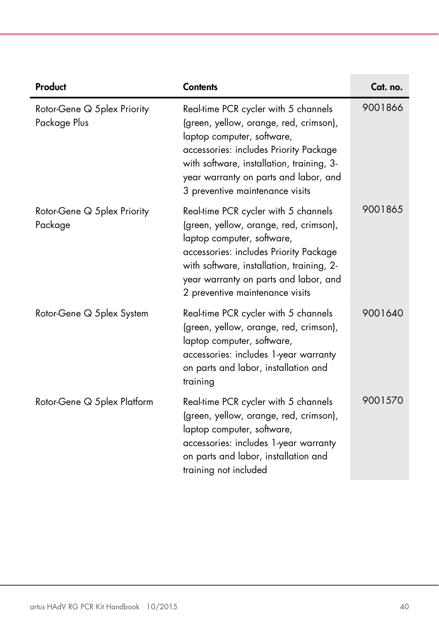| Product                                     | <b>Contents</b>                                                                                                                                                                                                                                                                 | Cat. no. |
|---------------------------------------------|---------------------------------------------------------------------------------------------------------------------------------------------------------------------------------------------------------------------------------------------------------------------------------|----------|
| Rotor-Gene Q 5plex Priority<br>Package Plus | Real-time PCR cycler with 5 channels<br>(green, yellow, orange, red, crimson),<br>laptop computer, software,<br>accessories: includes Priority Package<br>with software, installation, training, 3-<br>year warranty on parts and labor, and<br>3 preventive maintenance visits | 9001866  |
| Rotor-Gene Q 5plex Priority<br>Package      | Real-time PCR cycler with 5 channels<br>(green, yellow, orange, red, crimson),<br>laptop computer, software,<br>accessories: includes Priority Package<br>with software, installation, training, 2-<br>year warranty on parts and labor, and<br>2 preventive maintenance visits | 9001865  |
| Rotor-Gene Q 5plex System                   | Real-time PCR cycler with 5 channels<br>(green, yellow, orange, red, crimson),<br>laptop computer, software,<br>accessories: includes 1-year warranty<br>on parts and labor, installation and<br>training                                                                       | 9001640  |
| Rotor-Gene Q 5 plex Platform                | Real-time PCR cycler with 5 channels<br>(green, yellow, orange, red, crimson),<br>laptop computer, software,<br>accessories: includes 1-year warranty<br>on parts and labor, installation and<br>training not included                                                          | 9001570  |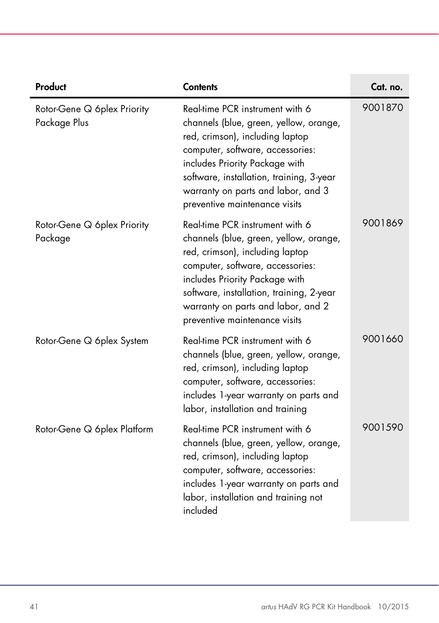| Product                                     | <b>Contents</b>                                                                                                                                                                                                                                                                                       | Cat. no. |
|---------------------------------------------|-------------------------------------------------------------------------------------------------------------------------------------------------------------------------------------------------------------------------------------------------------------------------------------------------------|----------|
| Rotor-Gene Q 6plex Priority<br>Package Plus | Real-time PCR instrument with 6<br>channels (blue, green, yellow, orange,<br>red, crimson), including laptop<br>computer, software, accessories:<br>includes Priority Package with<br>software, installation, training, 3-year<br>warranty on parts and labor, and 3<br>preventive maintenance visits | 9001870  |
| Rotor-Gene Q 6plex Priority<br>Package      | Real-time PCR instrument with 6<br>channels (blue, green, yellow, orange,<br>red, crimson), including laptop<br>computer, software, accessories:<br>includes Priority Package with<br>software, installation, training, 2-year<br>warranty on parts and labor, and 2<br>preventive maintenance visits | 9001869  |
| Rotor-Gene Q 6plex System                   | Real-time PCR instrument with 6<br>channels (blue, green, yellow, orange,<br>red, crimson), including laptop<br>computer, software, accessories:<br>includes 1-year warranty on parts and<br>labor, installation and training                                                                         | 9001660  |
| Rotor-Gene Q 6plex Platform                 | Real-time PCR instrument with 6<br>channels (blue, green, yellow, orange,<br>red, crimson), including laptop<br>computer, software, accessories:<br>includes 1-year warranty on parts and<br>labor, installation and training not<br>included                                                         | 9001590  |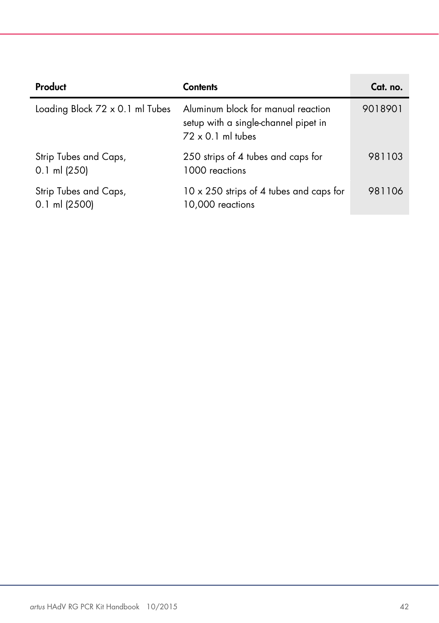| Product                                  | <b>Contents</b>                                                                                        | Cat. no. |
|------------------------------------------|--------------------------------------------------------------------------------------------------------|----------|
| Loading Block 72 x 0.1 ml Tubes          | Aluminum block for manual reaction<br>setup with a single-channel pipet in<br>$72 \times 0.1$ ml tubes | 9018901  |
| Strip Tubes and Caps,<br>$0.1$ ml (250)  | 250 strips of 4 tubes and caps for<br>1000 reactions                                                   | 981103   |
| Strip Tubes and Caps,<br>$0.1$ ml (2500) | 10 x 250 strips of 4 tubes and caps for<br>10,000 reactions                                            | 981106   |

 $\sim$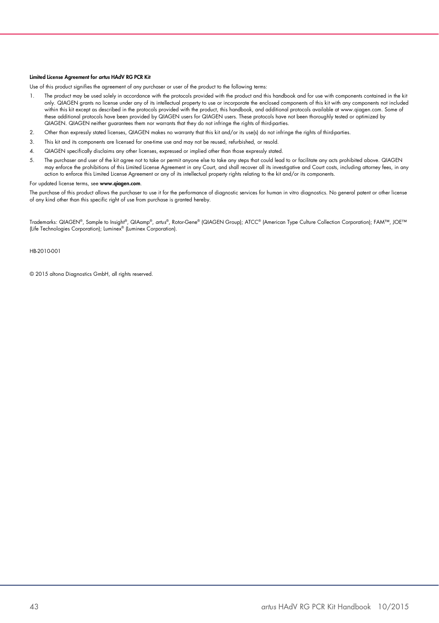#### Limited License Agreement for *artus* HAdV RG PCR Kit

Use of this product signifies the agreement of any purchaser or user of the product to the following terms:

- 1. The product may be used solely in accordance with the protocols provided with the product and this handbook and for use with components contained in the kit only. QIAGEN grants no license under any of its intellectual property to use or incorporate the enclosed components of this kit with any components not included<br>within this kit except as described in the protocols provided these additional protocols have been provided by QIAGEN users for QIAGEN users. These protocols have not been thoroughly tested or optimized by QIAGEN. QIAGEN neither guarantees them nor warrants that they do not infringe the rights of third-parties.
- 2. Other than expressly stated licenses, QIAGEN makes no warranty that this kit and/or its use(s) do not infringe the rights of third-parties.
- 3. This kit and its components are licensed for one-time use and may not be reused, refurbished, or resold.
- 4. QIAGEN specifically disclaims any other licenses, expressed or implied other than those expressly stated.
- 5. The purchaser and user of the kit agree not to take or permit anyone else to take any steps that could lead to or facilitate any acts prohibited above. QIAGEN may enforce the prohibitions of this Limited License Agreement in any Court, and shall recover all its investigative and Court costs, including attorney fees, in any action to enforce this Limited License Agreement or any of its intellectual property rights relating to the kit and/or its components.

#### For updated license terms, see www.qiagen.com.

The purchase of this product allows the purchaser to use it for the performance of diagnostic services for human in vitro diagnostics. No general patent or other license of any kind other than this specific right of use from purchase is granted hereby.

Trademarks: QIAGEN®, Sample to Insight®, QIAamp®, *artus*®, Rotor-Gene® (QIAGEN Group); ATCC® (American Type Culture Collection Corporation); FAM™, JOE™ (Life Technologies Corporation); Luminex® (Luminex Corporation).

HB-2010-001

© 2015 altona Diagnostics GmbH, all rights reserved.